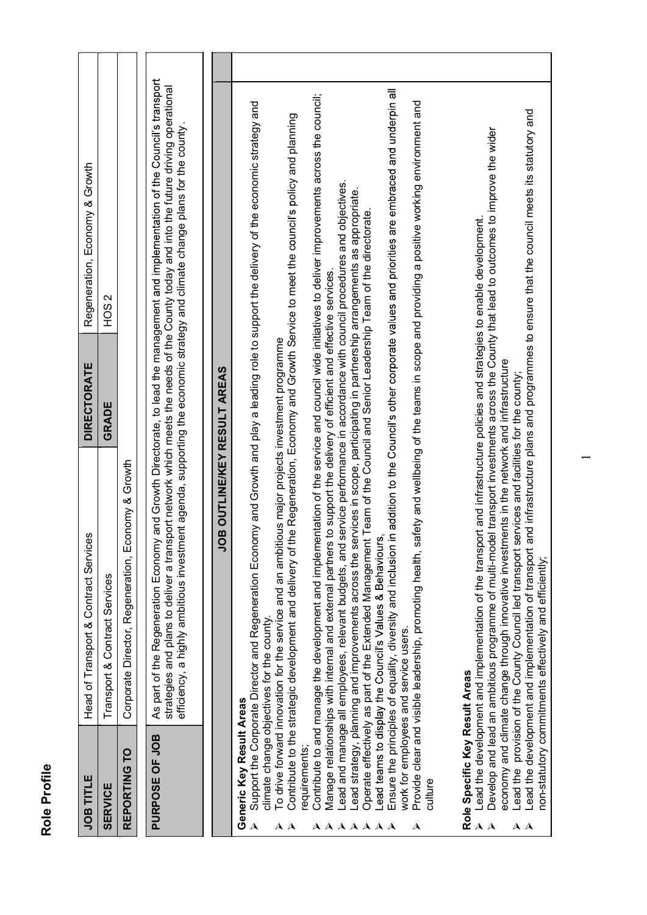| ٢ |
|---|
|   |
|   |
|   |
|   |
|   |
| ¢ |
|   |
|   |

| Role Profile                                                                                                                                              |                                                                                                                                                                                                                                                                                                                                                                                                                                                                                                                                                                                                                                                                                                                                                                                                                                                                                                                                                                                                                                                                                                                                                                                                                          |                    |                                                                                                                                                                                                                                                                                                                                                     |  |
|-----------------------------------------------------------------------------------------------------------------------------------------------------------|--------------------------------------------------------------------------------------------------------------------------------------------------------------------------------------------------------------------------------------------------------------------------------------------------------------------------------------------------------------------------------------------------------------------------------------------------------------------------------------------------------------------------------------------------------------------------------------------------------------------------------------------------------------------------------------------------------------------------------------------------------------------------------------------------------------------------------------------------------------------------------------------------------------------------------------------------------------------------------------------------------------------------------------------------------------------------------------------------------------------------------------------------------------------------------------------------------------------------|--------------------|-----------------------------------------------------------------------------------------------------------------------------------------------------------------------------------------------------------------------------------------------------------------------------------------------------------------------------------------------------|--|
| <b>JOB TITLE</b>                                                                                                                                          | Head of Transport & Contract Services                                                                                                                                                                                                                                                                                                                                                                                                                                                                                                                                                                                                                                                                                                                                                                                                                                                                                                                                                                                                                                                                                                                                                                                    | <b>DIRECTORATE</b> | Regeneration, Economy & Growth                                                                                                                                                                                                                                                                                                                      |  |
| <b>SERVICE</b>                                                                                                                                            | Transport & Contract Services                                                                                                                                                                                                                                                                                                                                                                                                                                                                                                                                                                                                                                                                                                                                                                                                                                                                                                                                                                                                                                                                                                                                                                                            | GRADE              | Z<br>HO <sub>S</sub>                                                                                                                                                                                                                                                                                                                                |  |
| REPORTING TO                                                                                                                                              | Corporate Director, Regeneration, Economy & Growth                                                                                                                                                                                                                                                                                                                                                                                                                                                                                                                                                                                                                                                                                                                                                                                                                                                                                                                                                                                                                                                                                                                                                                       |                    |                                                                                                                                                                                                                                                                                                                                                     |  |
| PURPOSE OF JOB                                                                                                                                            | strategies and plans to deliver a transport network which meets the needs of the County today and into the future driving operational<br>efficiency, a highly ambitious investment agenda, supporting the economic strategy and climate change plans for the county.<br>As part of the Regeneration Economy                                                                                                                                                                                                                                                                                                                                                                                                                                                                                                                                                                                                                                                                                                                                                                                                                                                                                                              |                    | and Growth Directorate, to lead the management and implementation of the Council's transport                                                                                                                                                                                                                                                        |  |
|                                                                                                                                                           | <b>JOB OUTLINE/KEY RESULT AREAS</b>                                                                                                                                                                                                                                                                                                                                                                                                                                                                                                                                                                                                                                                                                                                                                                                                                                                                                                                                                                                                                                                                                                                                                                                      |                    |                                                                                                                                                                                                                                                                                                                                                     |  |
| Generic Key Result Areas<br>requirements;<br>culture<br>$\blacktriangle$<br>$\bf{A} \bf{A} \bf{A} \bf{A} \bf{A} \bf{A}$<br>$\mathbf{A}$ $\mathbf{A}$<br>A | Contribute to and manage the development and implementation of the service and council wide initiatives to deliver improvements across the council;<br>Support the Corporate Director and Regeneration Economy and Growth and play a leading role to support the delivery of the economic strategy and<br>Contribute to the strategic development and delivery of the Regeneration, Economy and Growth Service to meet the council's policy and planning<br>Lead strategy, planning and improvements across the services in scope, participating in partnership arrangements as appropriate.<br>Manage relationships with internal and external partners to support the delivery of efficient and effective services.<br>To drive forward innovation for the service and an ambitious major projects investment programme<br>Lead teams to display the Council's Values & Behaviours<br>Operate effectively as part of the Extended Management<br>Provide clear and visible leadership, promoting health, sa<br>Lead and manage all employees, relevant budgets, and<br>Ensure the principles of equality, diversity and inclusion<br>climate change objectives for the county.<br>work for employees and service users. |                    | in addition to the Council's other corporate values and priorities are embraced and underpin all<br>afety and wellbeing of the teams in scope and providing a positive working environment and<br>service performance in accordance with council procedures and objectives.<br>t Team of the Council and Senior Leadership Team of the directorate. |  |
| Role Specific Key Result Areas<br>Lead the<br>$\boldsymbol{\mathsf{A}}$<br>$\mathbf{\Lambda}$<br>$\mathbf{A}$ $\mathbf{A}$                                | Lead the development and implementation of transport and infrastructure plans and programmes to ensure that the council meets its statutory and<br>Develop and lead an ambitious programme of multi-model transport investments across the County that lead to outcomes to improve the wider<br>Lead the development and implementation of the transport and infrastructure policies and strategies to enable development.<br>economy and climate change through innovative investments in the network and infrastructure<br>provision of the County Council led transport services and facilities for the county;<br>non-statutory commitments effectively and efficiently;                                                                                                                                                                                                                                                                                                                                                                                                                                                                                                                                             |                    |                                                                                                                                                                                                                                                                                                                                                     |  |
|                                                                                                                                                           |                                                                                                                                                                                                                                                                                                                                                                                                                                                                                                                                                                                                                                                                                                                                                                                                                                                                                                                                                                                                                                                                                                                                                                                                                          |                    |                                                                                                                                                                                                                                                                                                                                                     |  |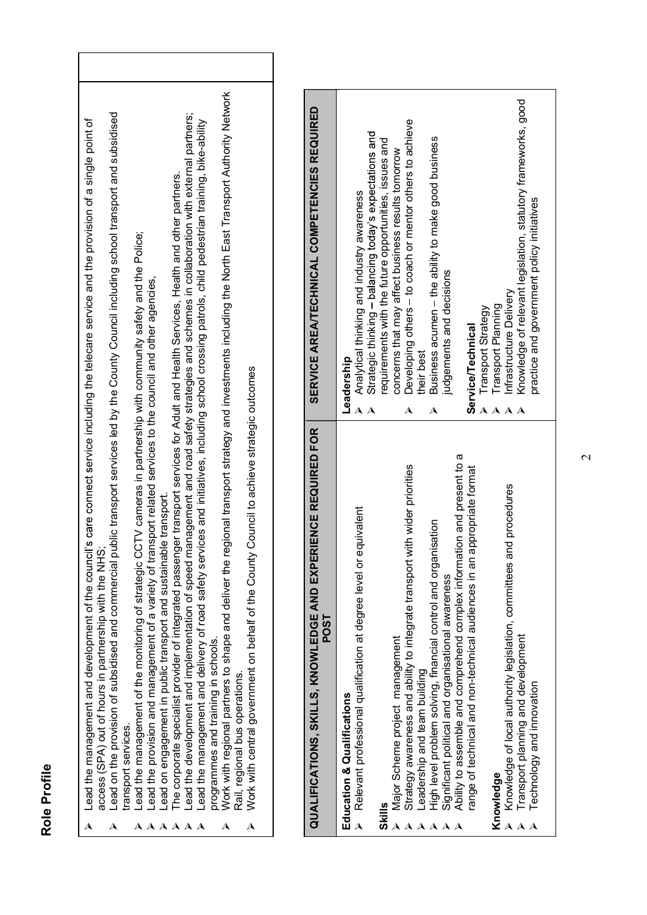|                     | Lead the management and development of the council's care connect service including the telecare service and the provision of a single point of  |  |
|---------------------|--------------------------------------------------------------------------------------------------------------------------------------------------|--|
|                     | access (SPA) out of hours in partnership with the NHS                                                                                            |  |
|                     | Lead on the provision of subsidised and commercial public transport services led by the County Council including school transport and subsidised |  |
| transport services. |                                                                                                                                                  |  |
|                     | Lead the management of the monitoring of strategic CCTV cameras in partnership with community safety and the Police;                             |  |
|                     | Lead the provision and management of a variety of transport related services to the council and other agencies,                                  |  |
|                     | Lead on engagement in public transport and sustainable transport.                                                                                |  |
|                     |                                                                                                                                                  |  |

- 
- 
- 
- 
- 

|              | the regional transport strategy and investments including the North East Transport Authority Network<br>Lead on the provision of subsidised and commercial public transport services led by the County Council including school transport and subsidised<br>Lead the development and implementation of speed management and road safety strategies and schemes in collaboration with external partners;<br>Lead the management and development of the council's care connect service including the telecare service and the provision of a single point of<br>Lead the management and delivery of road safety services and initiatives, including school crossing patrols, child pedestrian training, bike-ability<br>The corporate specialist provider of integrated passenger transport services for Adult and Health Services, Health and other partners.<br>of transport related services to the council and other agencies, | <b>SERVICE AREA/TECHNICAL COMPETENCIES REQUIRED</b>                   | Knowledge of relevant legislation, statutory frameworks, good<br>Developing others - to coach or mentor others to achieve<br>Strategic thinking - balancing today's expectations and<br>Business acumen - the ability to make good business<br>requirements with the future opportunities, issues and<br>concerns that may affect business results tomorrow<br>Analytical thinking and industry awareness<br>practice and government policy initiatives<br>judgements and decisions<br>Infrastructure Delivery<br>Transport Planning<br>Transport Strategy<br>Service/Technical<br>their best<br>Leadership<br>$A$ $A$<br>$\blacktriangle$<br>A<br>$\mathbf{\lambda}$<br>A<br>A<br>æ                                                                                                           |
|--------------|----------------------------------------------------------------------------------------------------------------------------------------------------------------------------------------------------------------------------------------------------------------------------------------------------------------------------------------------------------------------------------------------------------------------------------------------------------------------------------------------------------------------------------------------------------------------------------------------------------------------------------------------------------------------------------------------------------------------------------------------------------------------------------------------------------------------------------------------------------------------------------------------------------------------------------|-----------------------------------------------------------------------|------------------------------------------------------------------------------------------------------------------------------------------------------------------------------------------------------------------------------------------------------------------------------------------------------------------------------------------------------------------------------------------------------------------------------------------------------------------------------------------------------------------------------------------------------------------------------------------------------------------------------------------------------------------------------------------------------------------------------------------------------------------------------------------------|
| Role Profile | Lead the management of the monitoring of strategic CCTV cameras in partnership with community safety and the Police;<br>Work with central government on behalf of the County Council to achieve strategic outcomes<br>Lead on engagement in public transport and sustainable transport.<br>access (SPA) out of hours in partnership with the NHS;<br>Work with regional partners to shape and deliver<br>Lead the provision and management of a variety<br>programmes and training in schools.<br>Rail, regional bus operations.<br>transport services.<br>$\blacktriangle$<br>$\boldsymbol{\lambda}\ \boldsymbol{\lambda}\ \boldsymbol{\lambda}\ \boldsymbol{\lambda}\ \boldsymbol{\lambda}\ \boldsymbol{\lambda}$<br>$\blacktriangle$<br>A<br>A                                                                                                                                                                                | QUALIFICATIONS, SKILLS, KNOWLEDGE AND EXPERIENCE REQUIRED FOR<br>POST | Ability to assemble and comprehend complex information and present to<br>Strategy awareness and ability to integrate transport with wider priorities<br>range of technical and non-technical audiences in an appropriate format<br>Knowledge of local authority legislation, committees and procedures<br>Relevant professional qualification at degree level or equivalent<br>High level problem solving, financial control and organisation<br>Significant political and organisational awareness<br>Transport planning and development<br>Major Scheme project management<br>Leadership and team building<br>Technology and innovation<br><b>Education &amp; Qualifications</b><br>Knowledge<br>Skills<br>$\lambda$<br>$\boldsymbol{\mathsf{A}}$<br>$\boldsymbol{\lambda}$<br>$A A A$<br>AA |